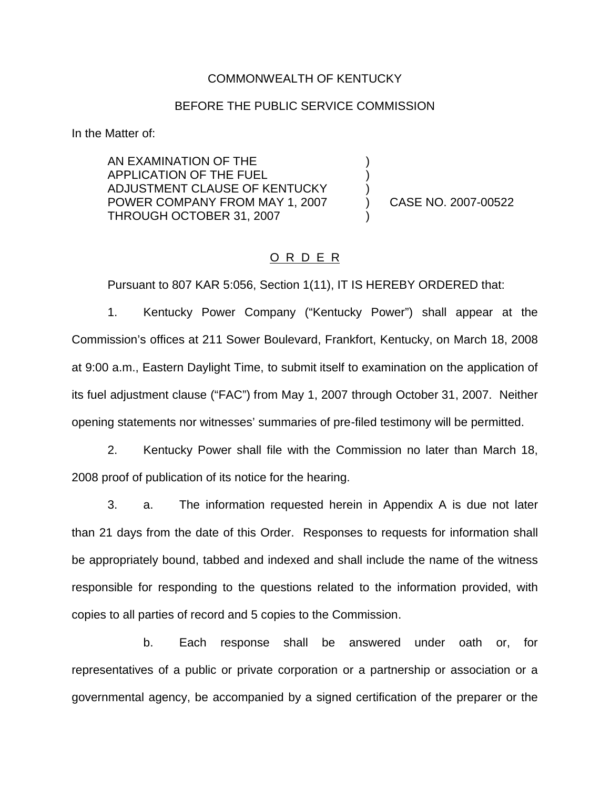#### COMMONWEALTH OF KENTUCKY

### BEFORE THE PUBLIC SERVICE COMMISSION

) ) )

)

In the Matter of:

AN EXAMINATION OF THE APPLICATION OF THE FUEL ADJUSTMENT CLAUSE OF KENTUCKY POWER COMPANY FROM MAY 1, 2007 THROUGH OCTOBER 31, 2007

) CASE NO. 2007-00522

# O R D E R

Pursuant to 807 KAR 5:056, Section 1(11), IT IS HEREBY ORDERED that:

1. Kentucky Power Company ("Kentucky Power") shall appear at the Commission's offices at 211 Sower Boulevard, Frankfort, Kentucky, on March 18, 2008 at 9:00 a.m., Eastern Daylight Time, to submit itself to examination on the application of its fuel adjustment clause ("FAC") from May 1, 2007 through October 31, 2007. Neither opening statements nor witnesses' summaries of pre-filed testimony will be permitted.

2. Kentucky Power shall file with the Commission no later than March 18, 2008 proof of publication of its notice for the hearing.

3. a. The information requested herein in Appendix A is due not later than 21 days from the date of this Order. Responses to requests for information shall be appropriately bound, tabbed and indexed and shall include the name of the witness responsible for responding to the questions related to the information provided, with copies to all parties of record and 5 copies to the Commission.

b. Each response shall be answered under oath or, for representatives of a public or private corporation or a partnership or association or a governmental agency, be accompanied by a signed certification of the preparer or the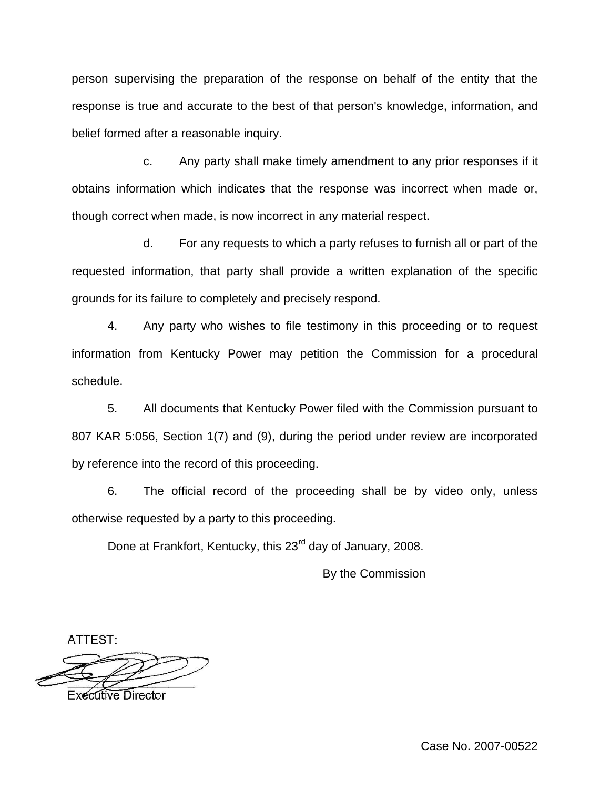person supervising the preparation of the response on behalf of the entity that the response is true and accurate to the best of that person's knowledge, information, and belief formed after a reasonable inquiry.

c. Any party shall make timely amendment to any prior responses if it obtains information which indicates that the response was incorrect when made or, though correct when made, is now incorrect in any material respect.

d. For any requests to which a party refuses to furnish all or part of the requested information, that party shall provide a written explanation of the specific grounds for its failure to completely and precisely respond.

4. Any party who wishes to file testimony in this proceeding or to request information from Kentucky Power may petition the Commission for a procedural schedule.

5. All documents that Kentucky Power filed with the Commission pursuant to 807 KAR 5:056, Section 1(7) and (9), during the period under review are incorporated by reference into the record of this proceeding.

6. The official record of the proceeding shall be by video only, unless otherwise requested by a party to this proceeding.

Done at Frankfort, Kentucky, this 23<sup>rd</sup> day of January, 2008.

By the Commission

ATTEST:

**Executive Director** 

Case No. 2007-00522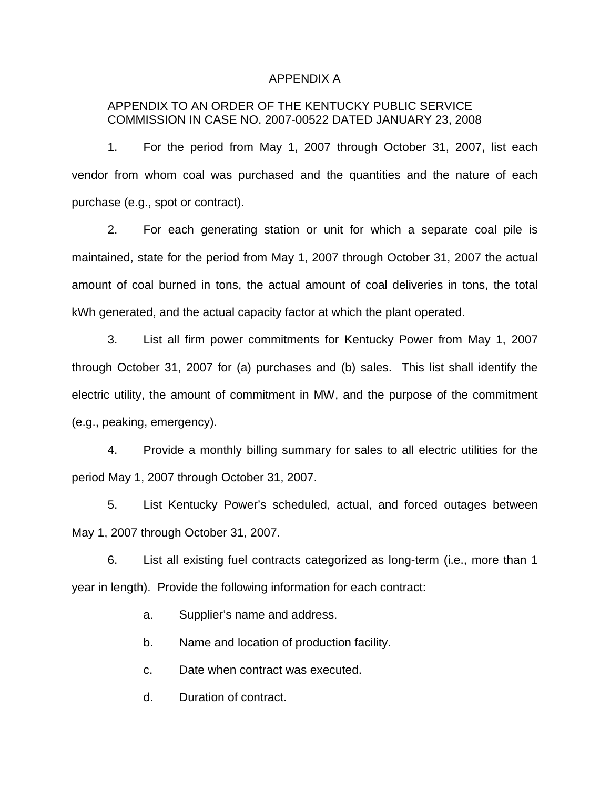#### APPENDIX A

# APPENDIX TO AN ORDER OF THE KENTUCKY PUBLIC SERVICE COMMISSION IN CASE NO. 2007-00522 DATED JANUARY 23, 2008

1. For the period from May 1, 2007 through October 31, 2007, list each vendor from whom coal was purchased and the quantities and the nature of each purchase (e.g., spot or contract).

2. For each generating station or unit for which a separate coal pile is maintained, state for the period from May 1, 2007 through October 31, 2007 the actual amount of coal burned in tons, the actual amount of coal deliveries in tons, the total kWh generated, and the actual capacity factor at which the plant operated.

3. List all firm power commitments for Kentucky Power from May 1, 2007 through October 31, 2007 for (a) purchases and (b) sales. This list shall identify the electric utility, the amount of commitment in MW, and the purpose of the commitment (e.g., peaking, emergency).

4. Provide a monthly billing summary for sales to all electric utilities for the period May 1, 2007 through October 31, 2007.

5. List Kentucky Power's scheduled, actual, and forced outages between May 1, 2007 through October 31, 2007.

6. List all existing fuel contracts categorized as long-term (i.e., more than 1 year in length). Provide the following information for each contract:

a. Supplier's name and address.

b. Name and location of production facility.

c. Date when contract was executed.

d. Duration of contract.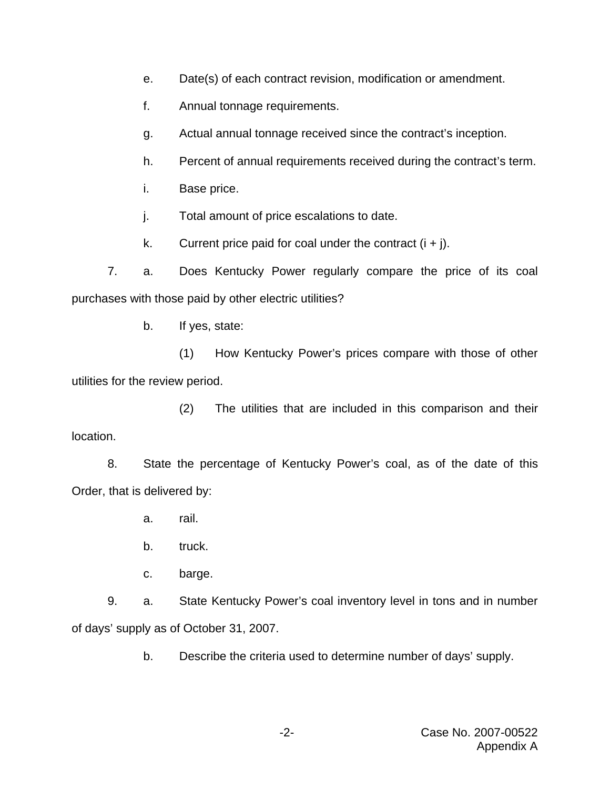- e. Date(s) of each contract revision, modification or amendment.
- f. Annual tonnage requirements.
- g. Actual annual tonnage received since the contract's inception.
- h. Percent of annual requirements received during the contract's term.
- i. Base price.
- j. Total amount of price escalations to date.
- k. Current price paid for coal under the contract  $(i + j)$ .

7. a. Does Kentucky Power regularly compare the price of its coal purchases with those paid by other electric utilities?

b. If yes, state:

(1) How Kentucky Power's prices compare with those of other utilities for the review period.

(2) The utilities that are included in this comparison and their location.

8. State the percentage of Kentucky Power's coal, as of the date of this Order, that is delivered by:

- a. rail.
- b. truck.
- c. barge.

9. a. State Kentucky Power's coal inventory level in tons and in number of days' supply as of October 31, 2007.

b. Describe the criteria used to determine number of days' supply.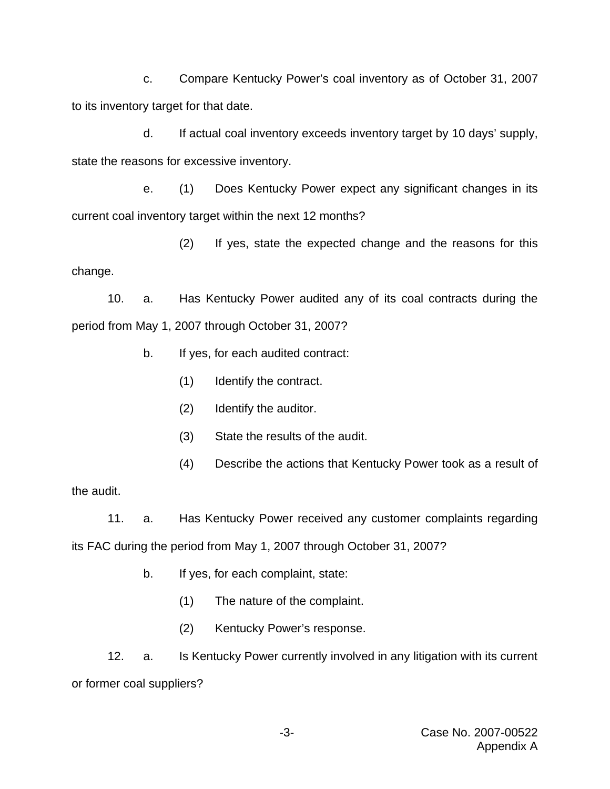c. Compare Kentucky Power's coal inventory as of October 31, 2007 to its inventory target for that date.

d. If actual coal inventory exceeds inventory target by 10 days' supply, state the reasons for excessive inventory.

e. (1) Does Kentucky Power expect any significant changes in its current coal inventory target within the next 12 months?

(2) If yes, state the expected change and the reasons for this change.

10. a. Has Kentucky Power audited any of its coal contracts during the period from May 1, 2007 through October 31, 2007?

- b. If yes, for each audited contract:
	- (1) Identify the contract.
	- (2) Identify the auditor.
	- (3) State the results of the audit.
	- (4) Describe the actions that Kentucky Power took as a result of

the audit.

11. a. Has Kentucky Power received any customer complaints regarding its FAC during the period from May 1, 2007 through October 31, 2007?

- b. If yes, for each complaint, state:
	- (1) The nature of the complaint.
	- (2) Kentucky Power's response.

12. a. Is Kentucky Power currently involved in any litigation with its current or former coal suppliers?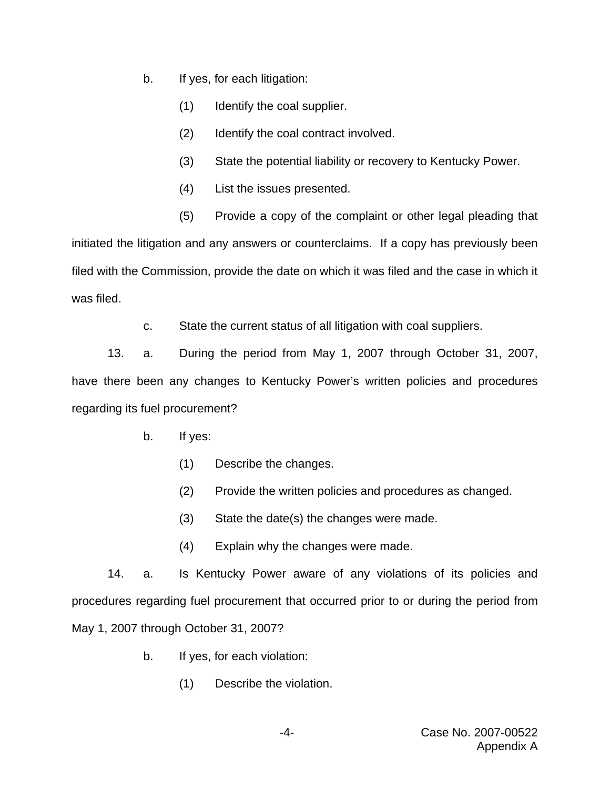- b. If yes, for each litigation:
	- (1) Identify the coal supplier.
	- (2) Identify the coal contract involved.
	- (3) State the potential liability or recovery to Kentucky Power.
	- (4) List the issues presented.
	- (5) Provide a copy of the complaint or other legal pleading that

initiated the litigation and any answers or counterclaims. If a copy has previously been filed with the Commission, provide the date on which it was filed and the case in which it was filed.

c. State the current status of all litigation with coal suppliers.

13. a. During the period from May 1, 2007 through October 31, 2007, have there been any changes to Kentucky Power's written policies and procedures regarding its fuel procurement?

- b. If yes:
	- (1) Describe the changes.
	- (2) Provide the written policies and procedures as changed.
	- (3) State the date(s) the changes were made.
	- (4) Explain why the changes were made.

14. a. Is Kentucky Power aware of any violations of its policies and procedures regarding fuel procurement that occurred prior to or during the period from May 1, 2007 through October 31, 2007?

- b. If yes, for each violation:
	- (1) Describe the violation.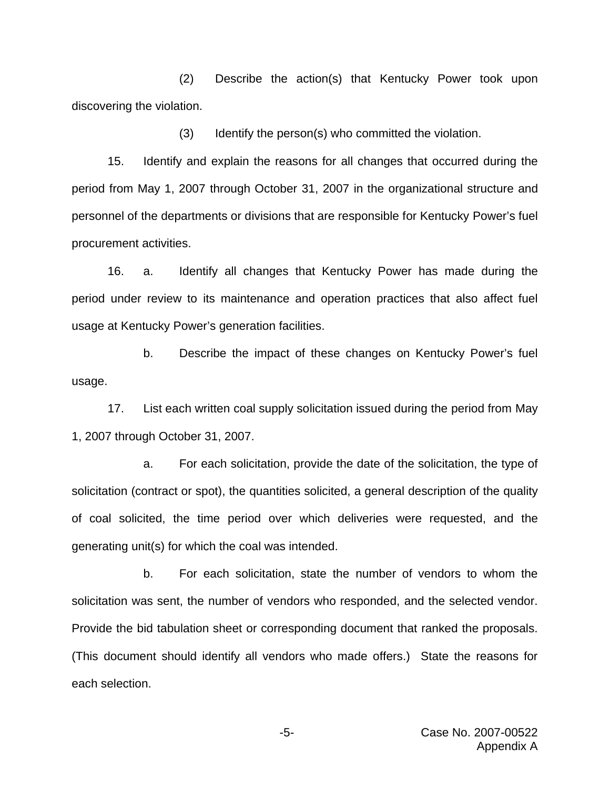(2) Describe the action(s) that Kentucky Power took upon discovering the violation.

(3) Identify the person(s) who committed the violation.

15. Identify and explain the reasons for all changes that occurred during the period from May 1, 2007 through October 31, 2007 in the organizational structure and personnel of the departments or divisions that are responsible for Kentucky Power's fuel procurement activities.

16. a. Identify all changes that Kentucky Power has made during the period under review to its maintenance and operation practices that also affect fuel usage at Kentucky Power's generation facilities.

b. Describe the impact of these changes on Kentucky Power's fuel usage.

17. List each written coal supply solicitation issued during the period from May 1, 2007 through October 31, 2007.

a. For each solicitation, provide the date of the solicitation, the type of solicitation (contract or spot), the quantities solicited, a general description of the quality of coal solicited, the time period over which deliveries were requested, and the generating unit(s) for which the coal was intended.

b. For each solicitation, state the number of vendors to whom the solicitation was sent, the number of vendors who responded, and the selected vendor. Provide the bid tabulation sheet or corresponding document that ranked the proposals. (This document should identify all vendors who made offers.) State the reasons for each selection.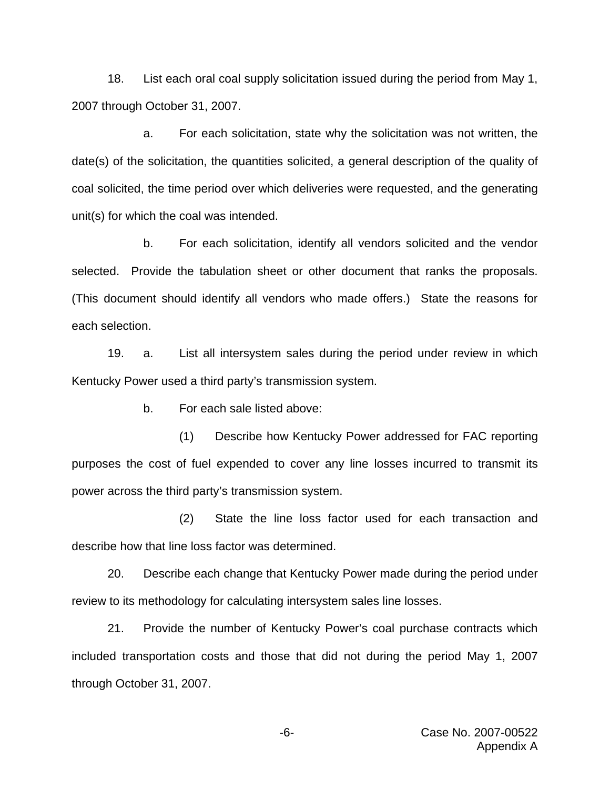18. List each oral coal supply solicitation issued during the period from May 1, 2007 through October 31, 2007.

a. For each solicitation, state why the solicitation was not written, the date(s) of the solicitation, the quantities solicited, a general description of the quality of coal solicited, the time period over which deliveries were requested, and the generating unit(s) for which the coal was intended.

b. For each solicitation, identify all vendors solicited and the vendor selected. Provide the tabulation sheet or other document that ranks the proposals. (This document should identify all vendors who made offers.) State the reasons for each selection.

19. a. List all intersystem sales during the period under review in which Kentucky Power used a third party's transmission system.

b. For each sale listed above:

(1) Describe how Kentucky Power addressed for FAC reporting purposes the cost of fuel expended to cover any line losses incurred to transmit its power across the third party's transmission system.

(2) State the line loss factor used for each transaction and describe how that line loss factor was determined.

20. Describe each change that Kentucky Power made during the period under review to its methodology for calculating intersystem sales line losses.

21. Provide the number of Kentucky Power's coal purchase contracts which included transportation costs and those that did not during the period May 1, 2007 through October 31, 2007.